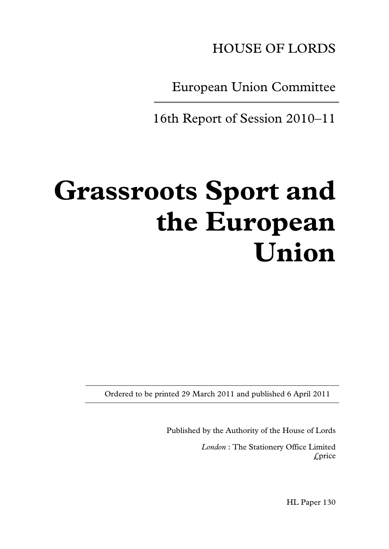

European Union Committee

16th Report of Session 2010–11

# **Grassroots Sport and the European Union**

Ordered to be printed 29 March 2011 and published 6 April 2011

Published by the Authority of the House of Lords

*London* : The Stationery Office Limited £price

HL Paper 130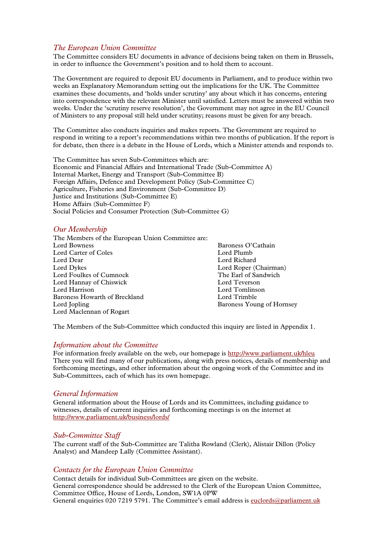#### *The European Union Committee*

The Committee considers EU documents in advance of decisions being taken on them in Brussels, in order to influence the Government's position and to hold them to account.

The Government are required to deposit EU documents in Parliament, and to produce within two weeks an Explanatory Memorandum setting out the implications for the UK. The Committee examines these documents, and 'holds under scrutiny' any about which it has concerns, entering into correspondence with the relevant Minister until satisfied. Letters must be answered within two weeks. Under the 'scrutiny reserve resolution', the Government may not agree in the EU Council of Ministers to any proposal still held under scrutiny; reasons must be given for any breach.

The Committee also conducts inquiries and makes reports. The Government are required to respond in writing to a report's recommendations within two months of publication. If the report is for debate, then there is a debate in the House of Lords, which a Minister attends and responds to.

The Committee has seven Sub-Committees which are: Economic and Financial Affairs and International Trade (Sub-Committee A) Internal Market, Energy and Transport (Sub-Committee B) Foreign Affairs, Defence and Development Policy (Sub-Committee C) Agriculture, Fisheries and Environment (Sub-Committee D) Justice and Institutions (Sub-Committee E) Home Affairs (Sub-Committee F) Social Policies and Consumer Protection (Sub-Committee G)

#### *Our Membership*

The Members of the European Union Committee are: Lord Carter of Coles<br>Lord Dear Lord Dear Lord Richard<br>
Lord Dykes Lord Rober ( Lord Foulkes of Cumnock<br>
Lord Hannav of Chiswick<br>
The Earl of Sandwich Sandwich Sandwich Sandwich Sandwich Sandwich Sandwich Sandwich Sandwich Sandwich Sandwich Lord Hannay of Chiswick<br>Lord Harrison Baroness Howarth of Breckland<br>Lord Jonling Lord Maclennan of Rogart

Baroness O'Cathain<br>Lord Plumb Lord Roper (Chairman)<br>The Earl of Sandwich Lord Tomlinson<br>Lord Trimble Baroness Young of Hornsey

The Members of the Sub-Committee which conducted this inquiry are listed in Appendix 1.

#### *Information about the Committee*

For information freely available on the web, our homepage i[s http://www.parliament.uk/hleu](http://www.parliament.uk/hleu) There you will find many of our publications, along with press notices, details of membership and forthcoming meetings, and other information about the ongoing work of the Committee and its Sub-Committees, each of which has its own homepage.

#### *General Information*

General information about the House of Lords and its Committees, including guidance to witnesses, details of current inquiries and forthcoming meetings is on the internet at <http://www.parliament.uk/business/lords/>

#### *Sub-Committee Staff*

The current staff of the Sub-Committee are Talitha Rowland (Clerk), Alistair Dillon (Policy Analyst) and Mandeep Lally (Committee Assistant).

#### *Contacts for the European Union Committee*

Contact details for individual Sub-Committees are given on the website. General correspondence should be addressed to the Clerk of the European Union Committee, Committee Office, House of Lords, London, SW1A 0PW General enquiries 020 7219 5791. The Committee's email address is [euclords@parliament.uk](mailto:euclords@parliament.uk)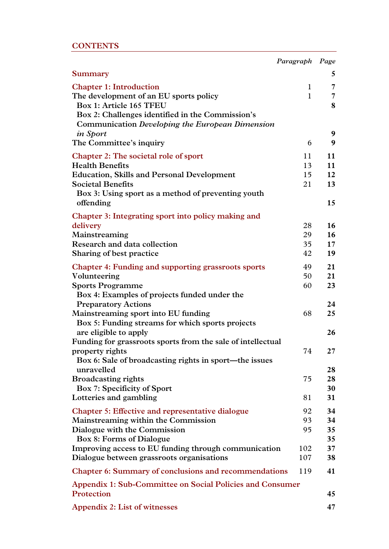#### **CONTENTS**

|                                                                                                                                                                                                                               | Paragraph Page               |                            |
|-------------------------------------------------------------------------------------------------------------------------------------------------------------------------------------------------------------------------------|------------------------------|----------------------------|
| Summary                                                                                                                                                                                                                       |                              | 5                          |
| <b>Chapter 1: Introduction</b><br>The development of an EU sports policy<br>Box 1: Article 165 TFEU<br>Box 2: Challenges identified in the Commission's<br>Communication Developing the European Dimension<br><i>in Sport</i> | $\mathbf{1}$<br>$\mathbf{1}$ | 7<br>7<br>8<br>9           |
| The Committee's inquiry                                                                                                                                                                                                       | 6                            | 9                          |
| Chapter 2: The societal role of sport<br><b>Health Benefits</b><br><b>Education, Skills and Personal Development</b><br><b>Societal Benefits</b><br>Box 3: Using sport as a method of preventing youth<br>offending           | 11<br>13<br>15<br>21         | 11<br>11<br>12<br>13<br>15 |
| Chapter 3: Integrating sport into policy making and<br>delivery<br>Mainstreaming<br>Research and data collection<br>Sharing of best practice                                                                                  | 28<br>29<br>35<br>42         | 16<br>16<br>$17 \,$<br>19  |
| <b>Chapter 4: Funding and supporting grassroots sports</b><br>Volunteering<br><b>Sports Programme</b><br>Box 4: Examples of projects funded under the                                                                         | 49<br>50<br>60               | 21<br>21<br>23             |
| <b>Preparatory Actions</b><br>Mainstreaming sport into EU funding<br>Box 5: Funding streams for which sports projects<br>are eligible to apply<br>Funding for grassroots sports from the sale of intellectual                 | 68                           | 24<br>25<br>26             |
| property rights<br>Box 6: Sale of broadcasting rights in sport—the issues<br>unravelled<br><b>Broadcasting rights</b><br>Box 7: Specificity of Sport<br>Lotteries and gambling                                                | 74<br>75<br>81               | 27<br>28<br>28<br>30<br>31 |
| <b>Chapter 5: Effective and representative dialogue</b><br>Mainstreaming within the Commission<br>Dialogue with the Commission<br>Box 8: Forms of Dialogue<br>Improving access to EU funding through communication            | 92<br>93<br>95<br>102        | 34<br>34<br>35<br>35<br>37 |
| Dialogue between grassroots organisations                                                                                                                                                                                     | 107                          | 38                         |
| <b>Chapter 6: Summary of conclusions and recommendations</b>                                                                                                                                                                  | 119                          | 41                         |
| Appendix 1: Sub-Committee on Social Policies and Consumer<br>Protection                                                                                                                                                       |                              | 45                         |
| Appendix 2: List of witnesses                                                                                                                                                                                                 |                              | 47                         |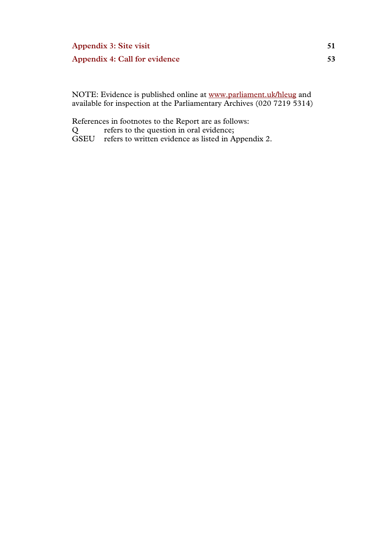### **Appendix 3: Site visit 51 Appendix 4: Call for evidence 53**

NOTE: Evidence is published online at www.parliament.uk/hleug and available for inspection at the Parliamentary Archives (020 7219 5314)

References in footnotes to the Report are as follows:

Q refers to the question in oral evidence;

GSEU refers to written evidence as listed in Appendix 2.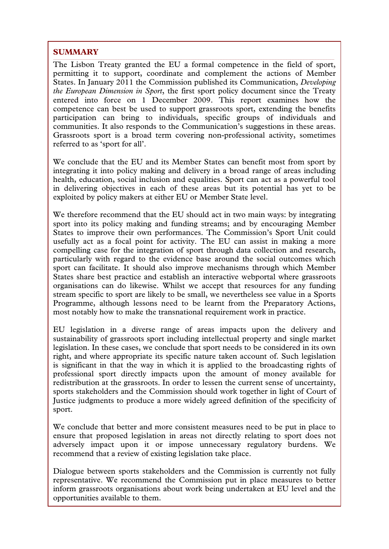#### **SUMMARY**

The Lisbon Treaty granted the EU a formal competence in the field of sport, permitting it to support, coordinate and complement the actions of Member States. In January 2011 the Commission published its Communication, *Developing the European Dimension in Sport*, the first sport policy document since the Treaty entered into force on 1 December 2009. This report examines how the competence can best be used to support grassroots sport, extending the benefits participation can bring to individuals, specific groups of individuals and communities. It also responds to the Communication's suggestions in these areas. Grassroots sport is a broad term covering non-professional activity, sometimes referred to as 'sport for all'.

We conclude that the EU and its Member States can benefit most from sport by integrating it into policy making and delivery in a broad range of areas including health, education, social inclusion and equalities. Sport can act as a powerful tool in delivering objectives in each of these areas but its potential has yet to be exploited by policy makers at either EU or Member State level.

We therefore recommend that the EU should act in two main ways: by integrating sport into its policy making and funding streams; and by encouraging Member States to improve their own performances. The Commission's Sport Unit could usefully act as a focal point for activity. The EU can assist in making a more compelling case for the integration of sport through data collection and research, particularly with regard to the evidence base around the social outcomes which sport can facilitate. It should also improve mechanisms through which Member States share best practice and establish an interactive webportal where grassroots organisations can do likewise. Whilst we accept that resources for any funding stream specific to sport are likely to be small, we nevertheless see value in a Sports Programme, although lessons need to be learnt from the Preparatory Actions, most notably how to make the transnational requirement work in practice.

EU legislation in a diverse range of areas impacts upon the delivery and sustainability of grassroots sport including intellectual property and single market legislation. In these cases, we conclude that sport needs to be considered in its own right, and where appropriate its specific nature taken account of. Such legislation is significant in that the way in which it is applied to the broadcasting rights of professional sport directly impacts upon the amount of money available for redistribution at the grassroots. In order to lessen the current sense of uncertainty, sports stakeholders and the Commission should work together in light of Court of Justice judgments to produce a more widely agreed definition of the specificity of sport.

We conclude that better and more consistent measures need to be put in place to ensure that proposed legislation in areas not directly relating to sport does not adversely impact upon it or impose unnecessary regulatory burdens. We recommend that a review of existing legislation take place.

Dialogue between sports stakeholders and the Commission is currently not fully representative. We recommend the Commission put in place measures to better inform grassroots organisations about work being undertaken at EU level and the opportunities available to them.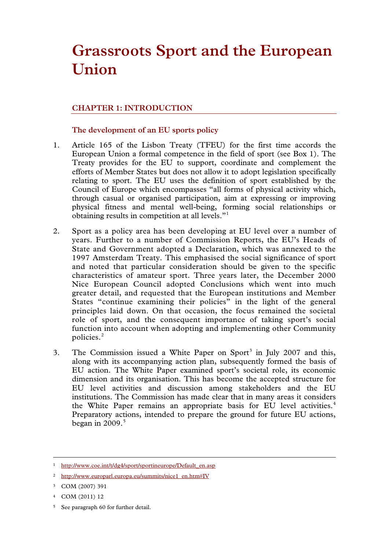## **Grassroots Sport and the European Union**

#### **CHAPTER 1: INTRODUCTION**

#### **The development of an EU sports policy**

- 1. Article 165 of the Lisbon Treaty (TFEU) for the first time accords the European Union a formal competence in the field of sport (see Box 1). The Treaty provides for the EU to support, coordinate and complement the efforts of Member States but does not allow it to adopt legislation specifically relating to sport. The EU uses the definition of sport established by the Council of Europe which encompasses "all forms of physical activity which, through casual or organised participation, aim at expressing or improving physical fitness and mental well-being, forming social relationships or obtaining results in competition at all levels."[1](#page-6-0)
- 2. Sport as a policy area has been developing at EU level over a number of years. Further to a number of Commission Reports, the EU's Heads of State and Government adopted a Declaration, which was annexed to the 1997 Amsterdam Treaty. This emphasised the social significance of sport and noted that particular consideration should be given to the specific characteristics of amateur sport. Three years later, the December 2000 Nice European Council adopted Conclusions which went into much greater detail, and requested that the European institutions and Member States "continue examining their policies" in the light of the general principles laid down. On that occasion, the focus remained the societal role of sport, and the consequent importance of taking sport's social function into account when adopting and implementing other Community policies.[2](#page-6-1)
- [3](#page-6-2). The Commission issued a White Paper on Sport<sup>3</sup> in July 2007 and this, along with its accompanying action plan, subsequently formed the basis of EU action. The White Paper examined sport's societal role, its economic dimension and its organisation. This has become the accepted structure for EU level activities and discussion among stakeholders and the EU institutions. The Commission has made clear that in many areas it considers the White Paper remains an appropriate basis for EU level activities.<sup>[4](#page-6-3)</sup> Preparatory actions, intended to prepare the ground for future EU actions, began in  $2009$ .<sup>[5](#page-6-4)</sup>

<span id="page-6-5"></span><span id="page-6-3"></span><sup>4</sup> COM (2011) 12

-

<span id="page-6-4"></span><sup>5</sup> See paragraph 60 for further detail.

<span id="page-6-0"></span><sup>&</sup>lt;sup>1</sup> http://www.coe.int/t/dg4/sport/sportineurope/Default\_en.asp

<span id="page-6-1"></span><sup>2</sup> http://www.europarl.europa.eu/summits/nice1\_en.htm#IV

<span id="page-6-2"></span><sup>3</sup> COM (2007) 391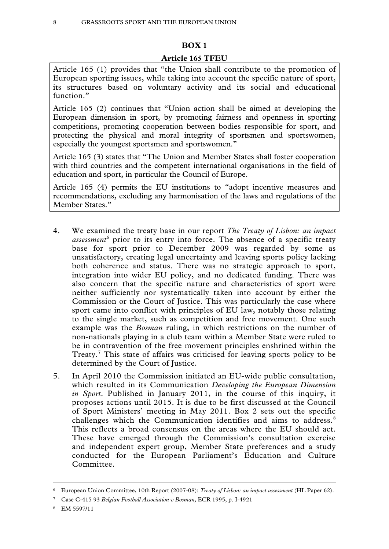#### **BOX 1**

#### **Article 165 TFEU**

Article 165 (1) provides that "the Union shall contribute to the promotion of European sporting issues, while taking into account the specific nature of sport, its structures based on voluntary activity and its social and educational function."

Article 165 (2) continues that "Union action shall be aimed at developing the European dimension in sport, by promoting fairness and openness in sporting competitions, promoting cooperation between bodies responsible for sport, and protecting the physical and moral integrity of sportsmen and sportswomen, especially the youngest sportsmen and sportswomen."

Article 165 (3) states that "The Union and Member States shall foster cooperation with third countries and the competent international organisations in the field of education and sport, in particular the Council of Europe.

Article 165 (4) permits the EU institutions to "adopt incentive measures and recommendations, excluding any harmonisation of the laws and regulations of the Member States."

- 4. We examined the treaty base in our report *The Treaty of Lisbon: an impact assessment*[6](#page-6-5) prior to its entry into force. The absence of a specific treaty base for sport prior to December 2009 was regarded by some as unsatisfactory, creating legal uncertainty and leaving sports policy lacking both coherence and status. There was no strategic approach to sport, integration into wider EU policy, and no dedicated funding. There was also concern that the specific nature and characteristics of sport were neither sufficiently nor systematically taken into account by either the Commission or the Court of Justice. This was particularly the case where sport came into conflict with principles of EU law, notably those relating to the single market, such as competition and free movement. One such example was the *Bosman* ruling, in which restrictions on the number of non-nationals playing in a club team within a Member State were ruled to be in contravention of the free movement principles enshrined within the Treaty.<sup>[7](#page-7-0)</sup> This state of affairs was criticised for leaving sports policy to be determined by the Court of Justice.
- 5. In April 2010 the Commission initiated an EU-wide public consultation, which resulted in its Communication *Developing the European Dimension in Sport*. Published in January 2011, in the course of this inquiry, it proposes actions until 2015. It is due to be first discussed at the Council of Sport Ministers' meeting in May 2011. Box 2 sets out the specific challenges which the Communication identifies and aims to address.<sup>[8](#page-7-1)</sup> This reflects a broad consensus on the areas where the EU should act. These have emerged through the Commission's consultation exercise and independent expert group, Member State preferences and a study conducted for the European Parliament's Education and Culture Committee.

<span id="page-7-1"></span><sup>8</sup> EM 5597/11

<span id="page-7-2"></span><sup>6</sup> European Union Committee, 10th Report (2007-08): *Treaty of Lisbon: an impact assessment* (HL Paper 62).

<span id="page-7-0"></span><sup>7</sup> Case C-415 93 *Belgian Football Association v Bosman*, ECR 1995, p. I-4921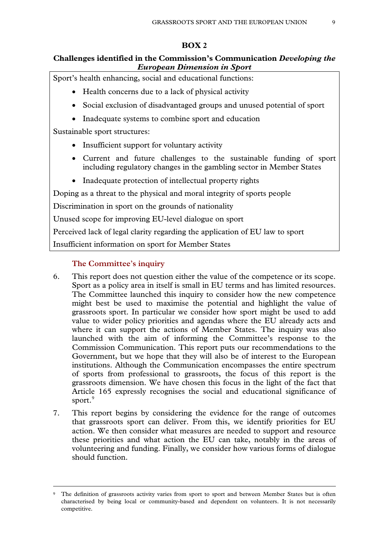#### **BOX 2**

#### **Challenges identified in the Commission's Communication** *Developing the European Dimension in Sport*

Sport's health enhancing, social and educational functions:

- Health concerns due to a lack of physical activity
- Social exclusion of disadvantaged groups and unused potential of sport
- Inadequate systems to combine sport and education

Sustainable sport structures:

- Insufficient support for voluntary activity
- Current and future challenges to the sustainable funding of sport including regulatory changes in the gambling sector in Member States
- Inadequate protection of intellectual property rights

Doping as a threat to the physical and moral integrity of sports people

Discrimination in sport on the grounds of nationality

Unused scope for improving EU-level dialogue on sport

Perceived lack of legal clarity regarding the application of EU law to sport

Insufficient information on sport for Member States

#### **The Committee's inquiry**

- 6. This report does not question either the value of the competence or its scope. Sport as a policy area in itself is small in EU terms and has limited resources. The Committee launched this inquiry to consider how the new competence might best be used to maximise the potential and highlight the value of grassroots sport. In particular we consider how sport might be used to add value to wider policy priorities and agendas where the EU already acts and where it can support the actions of Member States. The inquiry was also launched with the aim of informing the Committee's response to the Commission Communication. This report puts our recommendations to the Government, but we hope that they will also be of interest to the European institutions. Although the Communication encompasses the entire spectrum of sports from professional to grassroots, the focus of this report is the grassroots dimension. We have chosen this focus in the light of the fact that Article 165 expressly recognises the social and educational significance of sport.<sup>[9](#page-7-2)</sup>
- 7. This report begins by considering the evidence for the range of outcomes that grassroots sport can deliver. From this, we identify priorities for EU action. We then consider what measures are needed to support and resource these priorities and what action the EU can take, notably in the areas of volunteering and funding. Finally, we consider how various forms of dialogue should function.

<span id="page-8-0"></span><sup>&</sup>lt;sup>9</sup> The definition of grassroots activity varies from sport to sport and between Member States but is often characterised by being local or community-based and dependent on volunteers. It is not necessarily competitive.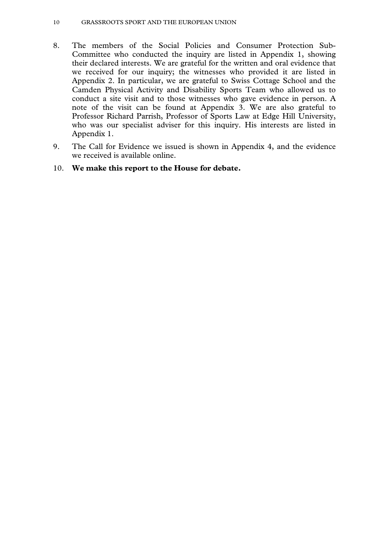- 8. The members of the Social Policies and Consumer Protection Sub-Committee who conducted the inquiry are listed in Appendix 1, showing their declared interests. We are grateful for the written and oral evidence that we received for our inquiry; the witnesses who provided it are listed in Appendix 2. In particular, we are grateful to Swiss Cottage School and the Camden Physical Activity and Disability Sports Team who allowed us to conduct a site visit and to those witnesses who gave evidence in person. A note of the visit can be found at Appendix 3. We are also grateful to Professor Richard Parrish, Professor of Sports Law at Edge Hill University, who was our specialist adviser for this inquiry. His interests are listed in Appendix 1.
- 9. The Call for Evidence we issued is shown in Appendix 4, and the evidence we received is available online.

#### 10. **We make this report to the House for debate.**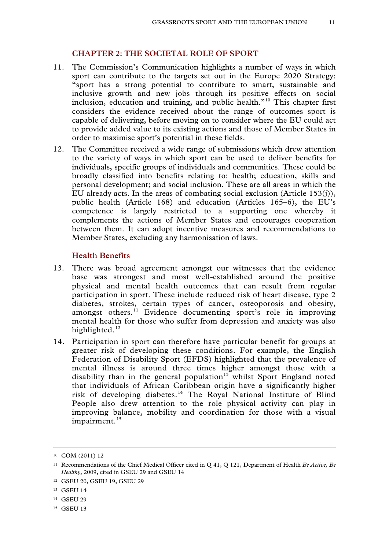#### **CHAPTER 2: THE SOCIETAL ROLE OF SPORT**

- 11. The Commission's Communication highlights a number of ways in which sport can contribute to the targets set out in the Europe 2020 Strategy: "sport has a strong potential to contribute to smart, sustainable and inclusive growth and new jobs through its positive effects on social inclusion, education and training, and public health."[10](#page-8-0) This chapter first considers the evidence received about the range of outcomes sport is capable of delivering, before moving on to consider where the EU could act to provide added value to its existing actions and those of Member States in order to maximise sport's potential in these fields.
- 12. The Committee received a wide range of submissions which drew attention to the variety of ways in which sport can be used to deliver benefits for individuals, specific groups of individuals and communities. These could be broadly classified into benefits relating to: health; education, skills and personal development; and social inclusion. These are all areas in which the EU already acts. In the areas of combating social exclusion (Article 153(j)), public health (Article 168) and education (Articles 165–6), the EU's competence is largely restricted to a supporting one whereby it complements the actions of Member States and encourages cooperation between them. It can adopt incentive measures and recommendations to Member States, excluding any harmonisation of laws.

#### **Health Benefits**

- 13. There was broad agreement amongst our witnesses that the evidence base was strongest and most well-established around the positive physical and mental health outcomes that can result from regular participation in sport. These include reduced risk of heart disease, type 2 diabetes, strokes, certain types of cancer, osteoporosis and obesity, amongst others.<sup>[11](#page-10-0)</sup> Evidence documenting sport's role in improving mental health for those who suffer from depression and anxiety was also highlighted.<sup>[12](#page-10-1)</sup>
- 14. Participation in sport can therefore have particular benefit for groups at greater risk of developing these conditions. For example, the English Federation of Disability Sport (EFDS) highlighted that the prevalence of mental illness is around three times higher amongst those with a disability than in the general population<sup>[13](#page-10-2)</sup> whilst Sport England noted that individuals of African Caribbean origin have a significantly higher risk of developing diabetes.<sup>[14](#page-10-3)</sup> The Royal National Institute of Blind People also drew attention to the role physical activity can play in improving balance, mobility and coordination for those with a visual impairment.<sup>[15](#page-10-4)</sup>

<span id="page-10-5"></span>-

<span id="page-10-4"></span><sup>15</sup> GSEU 13

<sup>10</sup> COM (2011) 12

<span id="page-10-0"></span><sup>11</sup> Recommendations of the Chief Medical Officer cited in Q 41, Q 121, Department of Health *Be Active, Be Healthy*, 2009, cited in GSEU 29 and GSEU 14

<span id="page-10-1"></span><sup>12</sup> GSEU 20, GSEU 19, GSEU 29

<span id="page-10-2"></span><sup>13</sup> GSEU 14

<span id="page-10-3"></span><sup>14</sup> GSEU 29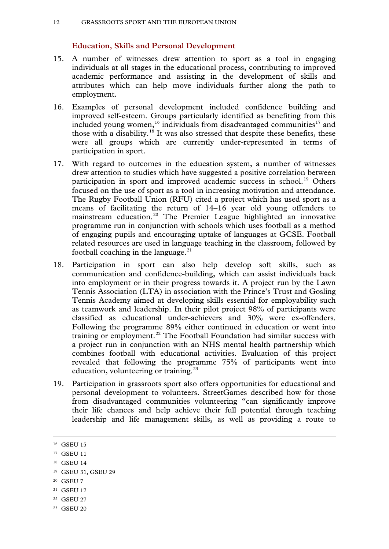#### **Education, Skills and Personal Development**

- 15. A number of witnesses drew attention to sport as a tool in engaging individuals at all stages in the educational process, contributing to improved academic performance and assisting in the development of skills and attributes which can help move individuals further along the path to employment.
- 16. Examples of personal development included confidence building and improved self-esteem. Groups particularly identified as benefiting from this included young women,<sup>[16](#page-10-5)</sup> individuals from disadvantaged communities<sup>[17](#page-11-0)</sup> and those with a disability.<sup>[18](#page-11-1)</sup> It was also stressed that despite these benefits, these were all groups which are currently under-represented in terms of participation in sport.
- 17. With regard to outcomes in the education system, a number of witnesses drew attention to studies which have suggested a positive correlation between participation in sport and improved academic success in school.<sup>[19](#page-11-2)</sup> Others focused on the use of sport as a tool in increasing motivation and attendance. The Rugby Football Union (RFU) cited a project which has used sport as a means of facilitating the return of 14–16 year old young offenders to mainstream education.[20](#page-11-3) The Premier League highlighted an innovative programme run in conjunction with schools which uses football as a method of engaging pupils and encouraging uptake of languages at GCSE. Football related resources are used in language teaching in the classroom, followed by football coaching in the language. $21$
- 18. Participation in sport can also help develop soft skills, such as communication and confidence-building, which can assist individuals back into employment or in their progress towards it. A project run by the Lawn Tennis Association (LTA) in association with the Prince's Trust and Gosling Tennis Academy aimed at developing skills essential for employability such as teamwork and leadership. In their pilot project 98% of participants were classified as educational under-achievers and 30% were ex-offenders. Following the programme 89% either continued in education or went into training or employment.<sup>[22](#page-11-5)</sup> The Football Foundation had similar success with a project run in conjunction with an NHS mental health partnership which combines football with educational activities. Evaluation of this project revealed that following the programme 75% of participants went into education, volunteering or training.<sup>[23](#page-11-6)</sup>
- 19. Participation in grassroots sport also offers opportunities for educational and personal development to volunteers. StreetGames described how for those from disadvantaged communities volunteering "can significantly improve their life chances and help achieve their full potential through teaching leadership and life management skills, as well as providing a route to

- <span id="page-11-3"></span><sup>20</sup> GSEU 7
- <span id="page-11-4"></span><sup>21</sup> GSEU 17
- <span id="page-11-5"></span><sup>22</sup> GSEU 27
- <span id="page-11-6"></span><sup>23</sup> GSEU 20

<span id="page-11-7"></span><sup>&</sup>lt;sup>16</sup> GSEU 15

<span id="page-11-0"></span><sup>&</sup>lt;sup>17</sup> GSEU 11

<span id="page-11-1"></span><sup>18</sup> GSEU 14

<span id="page-11-2"></span><sup>19</sup> GSEU 31, GSEU 29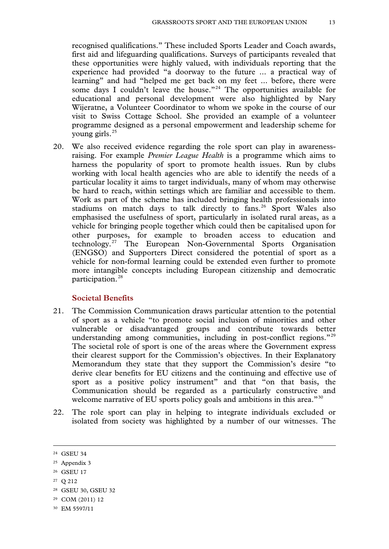recognised qualifications." These included Sports Leader and Coach awards, first aid and lifeguarding qualifications. Surveys of participants revealed that these opportunities were highly valued, with individuals reporting that the experience had provided "a doorway to the future ... a practical way of learning" and had "helped me get back on my feet ... before, there were some days I couldn't leave the house."<sup>[24](#page-11-7)</sup> The opportunities available for educational and personal development were also highlighted by Nary Wijeratne, a Volunteer Coordinator to whom we spoke in the course of our visit to Swiss Cottage School. She provided an example of a volunteer programme designed as a personal empowerment and leadership scheme for young girls.[25](#page-12-0)

20. We also received evidence regarding the role sport can play in awarenessraising. For example *Premier League Health* is a programme which aims to harness the popularity of sport to promote health issues. Run by clubs working with local health agencies who are able to identify the needs of a particular locality it aims to target individuals, many of whom may otherwise be hard to reach, within settings which are familiar and accessible to them. Work as part of the scheme has included bringing health professionals into stadiums on match days to talk directly to fans.<sup>[26](#page-12-1)</sup> Sport Wales also emphasised the usefulness of sport, particularly in isolated rural areas, as a vehicle for bringing people together which could then be capitalised upon for other purposes, for example to broaden access to education and technology.[27](#page-12-2) The European Non-Governmental Sports Organisation (ENGSO) and Supporters Direct considered the potential of sport as a vehicle for non-formal learning could be extended even further to promote more intangible concepts including European citizenship and democratic participation.[28](#page-12-3)

#### **Societal Benefits**

- 21. The Commission Communication draws particular attention to the potential of sport as a vehicle "to promote social inclusion of minorities and other vulnerable or disadvantaged groups and contribute towards better understanding among communities, including in post-conflict regions."<sup>[29](#page-12-4)</sup> The societal role of sport is one of the areas where the Government express their clearest support for the Commission's objectives. In their Explanatory Memorandum they state that they support the Commission's desire "to derive clear benefits for EU citizens and the continuing and effective use of sport as a positive policy instrument" and that "on that basis, the Communication should be regarded as a particularly constructive and welcome narrative of EU sports policy goals and ambitions in this area.<sup>"[30](#page-12-5)</sup>
- <span id="page-12-6"></span>22. The role sport can play in helping to integrate individuals excluded or isolated from society was highlighted by a number of our witnesses. The

-

<span id="page-12-5"></span><sup>30</sup> EM 5597/11

<span id="page-12-0"></span><sup>24</sup> GSEU 34

<span id="page-12-1"></span><sup>25</sup> Appendix 3

<span id="page-12-2"></span><sup>26</sup> GSEU 17

<sup>27</sup> Q 212

<span id="page-12-3"></span><sup>28</sup> GSEU 30, GSEU 32

<span id="page-12-4"></span><sup>29</sup> COM (2011) 12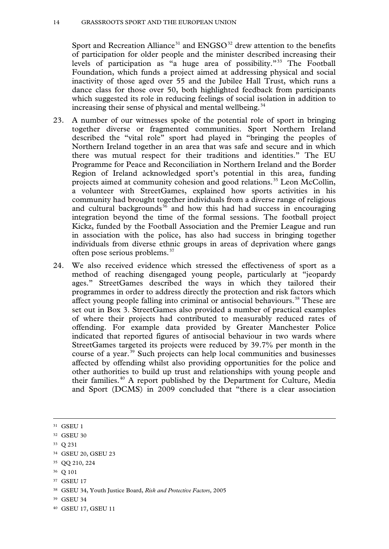#### 14 GRASSROOTS SPORT AND THE EUROPEAN UNION

Sport and Recreation Alliance<sup>[31](#page-12-6)</sup> and ENGSO<sup>[32](#page-13-0)</sup> drew attention to the benefits of participation for older people and the minister described increasing their levels of participation as "a huge area of possibility."[33](#page-13-1) The Football Foundation, which funds a project aimed at addressing physical and social inactivity of those aged over 55 and the Jubilee Hall Trust, which runs a dance class for those over 50, both highlighted feedback from participants which suggested its role in reducing feelings of social isolation in addition to increasing their sense of physical and mental wellbeing.<sup>[34](#page-13-2)</sup>

- 23. A number of our witnesses spoke of the potential role of sport in bringing together diverse or fragmented communities. Sport Northern Ireland described the "vital role" sport had played in "bringing the peoples of Northern Ireland together in an area that was safe and secure and in which there was mutual respect for their traditions and identities." The EU Programme for Peace and Reconciliation in Northern Ireland and the Border Region of Ireland acknowledged sport's potential in this area, funding projects aimed at community cohesion and good relations.<sup>[35](#page-13-3)</sup> Leon McCollin, a volunteer with StreetGames, explained how sports activities in his community had brought together individuals from a diverse range of religious and cultural backgrounds<sup>[36](#page-13-4)</sup> and how this had had success in encouraging integration beyond the time of the formal sessions. The football project Kickz, funded by the Football Association and the Premier League and run in association with the police, has also had success in bringing together individuals from diverse ethnic groups in areas of deprivation where gangs often pose serious problems.[37](#page-13-5)
- 24. We also received evidence which stressed the effectiveness of sport as a method of reaching disengaged young people, particularly at "jeopardy ages." StreetGames described the ways in which they tailored their programmes in order to address directly the protection and risk factors which affect young people falling into criminal or antisocial behaviours.<sup>[38](#page-13-6)</sup> These are set out in Box 3. StreetGames also provided a number of practical examples of where their projects had contributed to measurably reduced rates of offending. For example data provided by Greater Manchester Police indicated that reported figures of antisocial behaviour in two wards where StreetGames targeted its projects were reduced by 39.7% per month in the course of a year.[39](#page-13-7) Such projects can help local communities and businesses affected by offending whilst also providing opportunities for the police and other authorities to build up trust and relationships with young people and their families.[40](#page-13-8) A report published by the Department for Culture, Media and Sport (DCMS) in 2009 concluded that "there is a clear association

-

<span id="page-13-4"></span><sup>36</sup> Q 101

- <span id="page-13-6"></span><sup>38</sup> GSEU 34, Youth Justice Board, *Risk and Protective Factors,* 2005
- <span id="page-13-7"></span><sup>39</sup> GSEU 34

<sup>31</sup> GSEU 1

<span id="page-13-0"></span><sup>32</sup> GSEU 30

<span id="page-13-1"></span><sup>33</sup> Q 231

<span id="page-13-2"></span><sup>34</sup> GSEU 20, GSEU 23

<span id="page-13-3"></span><sup>35</sup> QQ 210, 224

<span id="page-13-5"></span><sup>37</sup> GSEU 17

<span id="page-13-8"></span><sup>40</sup> GSEU 17, GSEU 11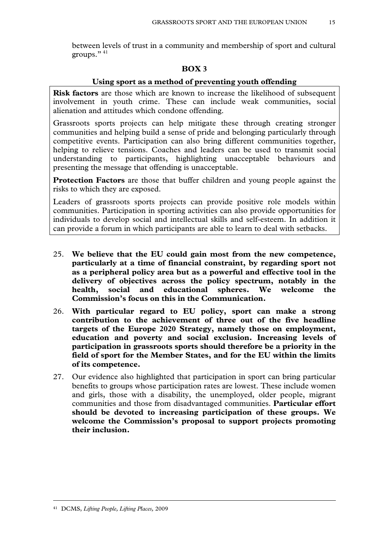between levels of trust in a community and membership of sport and cultural groups." [41](#page-13-8)

#### **BOX 3**

#### **Using sport as a method of preventing youth offending**

**Risk factors** are those which are known to increase the likelihood of subsequent involvement in youth crime. These can include weak communities, social alienation and attitudes which condone offending.

Grassroots sports projects can help mitigate these through creating stronger communities and helping build a sense of pride and belonging particularly through competitive events. Participation can also bring different communities together, helping to relieve tensions. Coaches and leaders can be used to transmit social understanding to participants, highlighting unacceptable behaviours and presenting the message that offending is unacceptable.

**Protection Factors** are those that buffer children and young people against the risks to which they are exposed.

Leaders of grassroots sports projects can provide positive role models within communities. Participation in sporting activities can also provide opportunities for individuals to develop social and intellectual skills and self-esteem. In addition it can provide a forum in which participants are able to learn to deal with setbacks.

- 25. **We believe that the EU could gain most from the new competence, particularly at a time of financial constraint, by regarding sport not as a peripheral policy area but as a powerful and effective tool in the delivery of objectives across the policy spectrum, notably in the health, social and educational spheres. We welcome the Commission's focus on this in the Communication.**
- 26. **With particular regard to EU policy, sport can make a strong contribution to the achievement of three out of the five headline targets of the Europe 2020 Strategy, namely those on employment, education and poverty and social exclusion. Increasing levels of participation in grassroots sports should therefore be a priority in the field of sport for the Member States, and for the EU within the limits of its competence.**
- <span id="page-14-0"></span>27. Our evidence also highlighted that participation in sport can bring particular benefits to groups whose participation rates are lowest. These include women and girls, those with a disability, the unemployed, older people, migrant communities and those from disadvantaged communities. **Particular effort should be devoted to increasing participation of these groups. We welcome the Commission's proposal to support projects promoting their inclusion.**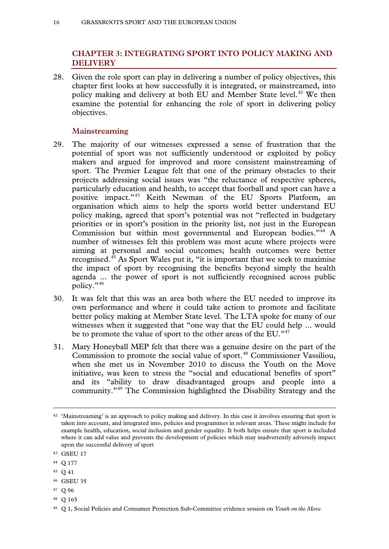#### **CHAPTER 3: INTEGRATING SPORT INTO POLICY MAKING AND DELIVERY**

28. Given the role sport can play in delivering a number of policy objectives, this chapter first looks at how successfully it is integrated, or mainstreamed, into policy making and delivery at both EU and Member State level.<sup>[42](#page-14-0)</sup> We then examine the potential for enhancing the role of sport in delivering policy objectives.

#### **Mainstreaming**

- 29. The majority of our witnesses expressed a sense of frustration that the potential of sport was not sufficiently understood or exploited by policy makers and argued for improved and more consistent mainstreaming of sport. The Premier League felt that one of the primary obstacles to their projects addressing social issues was "the reluctance of respective spheres, particularly education and health, to accept that football and sport can have a positive impact."[43](#page-15-0) Keith Newman of the EU Sports Platform, an organisation which aims to help the sports world better understand EU policy making, agreed that sport's potential was not "reflected in budgetary priorities or in sport's position in the priority list, not just in the European Commission but within most governmental and European bodies."[44](#page-15-1) A number of witnesses felt this problem was most acute where projects were aiming at personal and social outcomes; health outcomes were better recognised.[45](#page-15-2) As Sport Wales put it, "it is important that we seek to maximise the impact of sport by recognising the benefits beyond simply the health agenda ... the power of sport is not sufficiently recognised across public policy." [46](#page-15-3)
- 30. It was felt that this was an area both where the EU needed to improve its own performance and where it could take action to promote and facilitate better policy making at Member State level. The LTA spoke for many of our witnesses when it suggested that "one way that the EU could help ... would be to promote the value of sport to the other areas of the EU."<sup>[47](#page-15-4)</sup>
- 31. Mary Honeyball MEP felt that there was a genuine desire on the part of the Commission to promote the social value of sport.<sup>[48](#page-15-5)</sup> Commissioner Vassiliou, when she met us in November 2010 to discuss the Youth on the Move initiative, was keen to stress the "social and educational benefits of sport" and its "ability to draw disadvantaged groups and people into a community."[49](#page-15-6) The Commission highlighted the Disability Strategy and the

- <span id="page-15-1"></span><sup>44</sup> Q 177
- <span id="page-15-2"></span><sup>45</sup> Q 41

- <span id="page-15-3"></span><sup>46</sup> GSEU 35
- <span id="page-15-4"></span><sup>47</sup> Q 96
- <span id="page-15-5"></span><sup>48</sup> Q 165

<sup>42</sup> 'Mainstreaming' is an approach to policy making and delivery. In this case it involves ensuring that sport is taken into account, and integrated into, policies and programmes in relevant areas. These might include for example health, education, social inclusion and gender equality. It both helps ensure that sport is included where it can add value and prevents the development of policies which may inadvertently adversely impact upon the successful delivery of sport

<span id="page-15-7"></span><span id="page-15-0"></span><sup>43</sup> GSEU 17

<span id="page-15-6"></span><sup>49</sup> Q 1, Social Policies and Consumer Protection Sub-Committee evidence session on *Youth on the Move*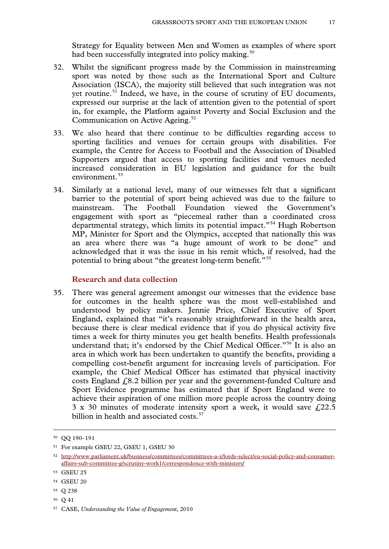Strategy for Equality between Men and Women as examples of where sport had been successfully integrated into policy making.<sup>[50](#page-15-7)</sup>

- 32. Whilst the significant progress made by the Commission in mainstreaming sport was noted by those such as the International Sport and Culture Association (ISCA), the majority still believed that such integration was not yet routine.<sup>[51](#page-16-0)</sup> Indeed, we have, in the course of scrutiny of EU documents, expressed our surprise at the lack of attention given to the potential of sport in, for example, the Platform against Poverty and Social Exclusion and the Communication on Active Ageing.<sup>[52](#page-16-1)</sup>
- 33. We also heard that there continue to be difficulties regarding access to sporting facilities and venues for certain groups with disabilities. For example, the Centre for Access to Football and the Association of Disabled Supporters argued that access to sporting facilities and venues needed increased consideration in EU legislation and guidance for the built environment.<sup>[53](#page-16-2)</sup>
- 34. Similarly at a national level, many of our witnesses felt that a significant barrier to the potential of sport being achieved was due to the failure to mainstream. The Football Foundation viewed the Government's engagement with sport as "piecemeal rather than a coordinated cross departmental strategy, which limits its potential impact."[54](#page-16-3) Hugh Robertson MP, Minister for Sport and the Olympics, accepted that nationally this was an area where there was "a huge amount of work to be done" and acknowledged that it was the issue in his remit which, if resolved, had the potential to bring about "the greatest long-term benefit."[55](#page-16-4)

#### **Research and data collection**

35. There was general agreement amongst our witnesses that the evidence base for outcomes in the health sphere was the most well-established and understood by policy makers. Jennie Price, Chief Executive of Sport England, explained that "it's reasonably straightforward in the health area, because there is clear medical evidence that if you do physical activity five times a week for thirty minutes you get health benefits. Health professionals understand that; it's endorsed by the Chief Medical Officer."<sup>[56](#page-16-5)</sup> It is also an area in which work has been undertaken to quantify the benefits, providing a compelling cost-benefit argument for increasing levels of participation. For example, the Chief Medical Officer has estimated that physical inactivity costs England £8.2 billion per year and the government-funded Culture and Sport Evidence programme has estimated that if Sport England were to achieve their aspiration of one million more people across the country doing 3 x 30 minutes of moderate intensity sport a week, it would save  $f(22.5)$ billion in health and associated costs.<sup>[57](#page-16-6)</sup>

-

<span id="page-16-5"></span><sup>56</sup> Q 41

<sup>50</sup> QQ 190–191

<span id="page-16-7"></span><span id="page-16-0"></span><sup>51</sup> For example GSEU 22, GSEU 1, GSEU 30

<span id="page-16-1"></span><sup>52</sup> http://www.parliament.uk/business/committees/committees-a-z/lords-select/eu-social-policy-and-consumeraffairs-sub-committee-g/scrutiny-work1/correspondence-with-ministers/

<span id="page-16-2"></span><sup>53</sup> GSEU 25

<span id="page-16-3"></span><sup>54</sup> GSEU 20

<span id="page-16-4"></span><sup>55</sup> Q 238

<span id="page-16-6"></span><sup>57</sup> CASE, *Understanding the Value of Engagement*, 2010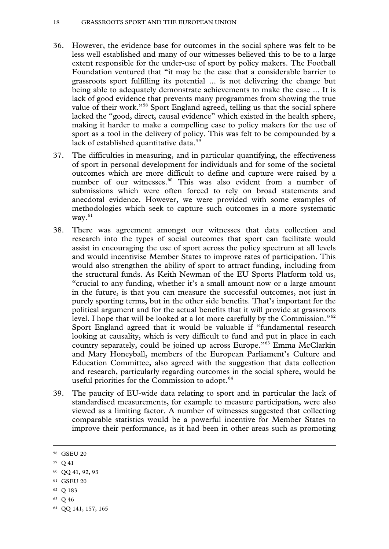- 36. However, the evidence base for outcomes in the social sphere was felt to be less well established and many of our witnesses believed this to be to a large extent responsible for the under-use of sport by policy makers. The Football Foundation ventured that "it may be the case that a considerable barrier to grassroots sport fulfilling its potential ... is not delivering the change but being able to adequately demonstrate achievements to make the case ... It is lack of good evidence that prevents many programmes from showing the true value of their work."<sup>[58](#page-16-7)</sup> Sport England agreed, telling us that the social sphere lacked the "good, direct, causal evidence" which existed in the health sphere, making it harder to make a compelling case to policy makers for the use of sport as a tool in the delivery of policy. This was felt to be compounded by a lack of established quantitative data. $59$
- 37. The difficulties in measuring, and in particular quantifying, the effectiveness of sport in personal development for individuals and for some of the societal outcomes which are more difficult to define and capture were raised by a number of our witnesses.<sup>[60](#page-17-1)</sup> This was also evident from a number of submissions which were often forced to rely on broad statements and anecdotal evidence. However, we were provided with some examples of methodologies which seek to capture such outcomes in a more systematic way. $61$
- 38. There was agreement amongst our witnesses that data collection and research into the types of social outcomes that sport can facilitate would assist in encouraging the use of sport across the policy spectrum at all levels and would incentivise Member States to improve rates of participation. This would also strengthen the ability of sport to attract funding, including from the structural funds. As Keith Newman of the EU Sports Platform told us, "crucial to any funding, whether it's a small amount now or a large amount in the future, is that you can measure the successful outcomes, not just in purely sporting terms, but in the other side benefits. That's important for the political argument and for the actual benefits that it will provide at grassroots level. I hope that will be looked at a lot more carefully by the Commission."[62](#page-17-3) Sport England agreed that it would be valuable if "fundamental research looking at causality, which is very difficult to fund and put in place in each country separately, could be joined up across Europe."[63](#page-17-4) Emma McClarkin and Mary Honeyball, members of the European Parliament's Culture and Education Committee, also agreed with the suggestion that data collection and research, particularly regarding outcomes in the social sphere, would be useful priorities for the Commission to adopt.<sup>[64](#page-17-5)</sup>
- 39. The paucity of EU-wide data relating to sport and in particular the lack of standardised measurements, for example to measure participation, were also viewed as a limiting factor. A number of witnesses suggested that collecting comparable statistics would be a powerful incentive for Member States to improve their performance, as it had been in other areas such as promoting

<span id="page-17-0"></span><sup>59</sup> Q 41

- <span id="page-17-3"></span><sup>62</sup> Q 183
- <span id="page-17-4"></span><sup>63</sup> Q 46

<span id="page-17-6"></span><sup>58</sup> GSEU 20

<span id="page-17-1"></span><sup>60</sup> QQ 41, 92, 93

<span id="page-17-2"></span><sup>61</sup> GSEU 20

<span id="page-17-5"></span><sup>64</sup> QQ 141, 157, 165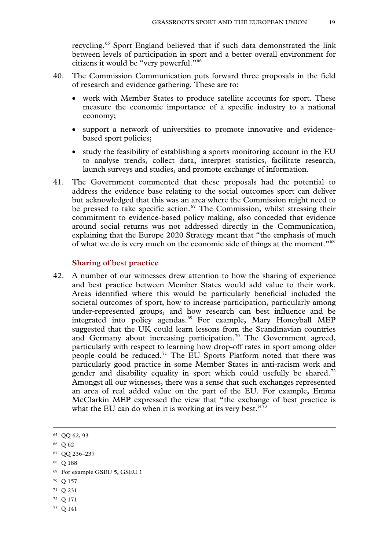recycling.[65](#page-17-6) Sport England believed that if such data demonstrated the link between levels of participation in sport and a better overall environment for citizens it would be "very powerful."[66](#page-18-0)

- 40. The Commission Communication puts forward three proposals in the field of research and evidence gathering. These are to:
	- work with Member States to produce satellite accounts for sport. These measure the economic importance of a specific industry to a national economy;
	- support a network of universities to promote innovative and evidencebased sport policies;
	- study the feasibility of establishing a sports monitoring account in the EU to analyse trends, collect data, interpret statistics, facilitate research, launch surveys and studies, and promote exchange of information.
- 41. The Government commented that these proposals had the potential to address the evidence base relating to the social outcomes sport can deliver but acknowledged that this was an area where the Commission might need to be pressed to take specific action.<sup>[67](#page-18-1)</sup> The Commission, whilst stressing their commitment to evidence-based policy making, also conceded that evidence around social returns was not addressed directly in the Communication, explaining that the Europe 2020 Strategy meant that "the emphasis of much of what we do is very much on the economic side of things at the moment."[68](#page-18-2)

#### **Sharing of best practice**

42. A number of our witnesses drew attention to how the sharing of experience and best practice between Member States would add value to their work. Areas identified where this would be particularly beneficial included the societal outcomes of sport, how to increase participation, particularly among under-represented groups, and how research can best influence and be integrated into policy agendas.<sup>[69](#page-18-3)</sup> For example, Mary Honeyball MEP suggested that the UK could learn lessons from the Scandinavian countries and Germany about increasing participation.<sup>[70](#page-18-4)</sup> The Government agreed, particularly with respect to learning how drop-off rates in sport among older people could be reduced.[71](#page-18-5) The EU Sports Platform noted that there was particularly good practice in some Member States in anti-racism work and gender and disability equality in sport which could usefully be shared.<sup>[72](#page-18-6)</sup> Amongst all our witnesses, there was a sense that such exchanges represented an area of real added value on the part of the EU. For example, Emma McClarkin MEP expressed the view that "the exchange of best practice is what the EU can do when it is working at its very best. $173$  $173$ 

-

<span id="page-18-2"></span><sup>68</sup> Q 188

- <span id="page-18-4"></span><sup>70</sup> Q 157
- <span id="page-18-5"></span><sup>71</sup> Q 231
- <span id="page-18-6"></span><sup>72</sup> Q 171
- <span id="page-18-7"></span><sup>73</sup> Q 141

<span id="page-18-8"></span><sup>65</sup> QQ 62, 93

<span id="page-18-0"></span><sup>66</sup> Q 62

<span id="page-18-1"></span><sup>67</sup> QQ 236–237

<span id="page-18-3"></span><sup>69</sup> For example GSEU 5, GSEU 1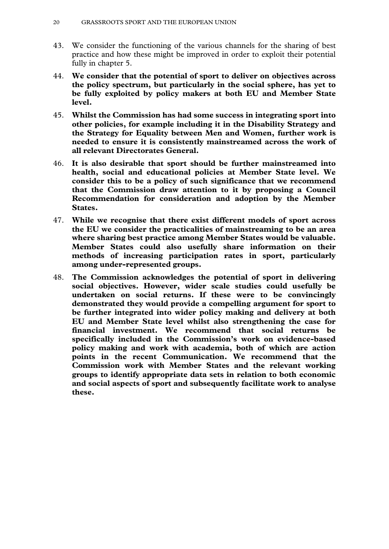- 43. We consider the functioning of the various channels for the sharing of best practice and how these might be improved in order to exploit their potential fully in chapter 5.
- 44. **We consider that the potential of sport to deliver on objectives across the policy spectrum, but particularly in the social sphere, has yet to be fully exploited by policy makers at both EU and Member State level.**
- 45. **Whilst the Commission has had some success in integrating sport into other policies, for example including it in the Disability Strategy and the Strategy for Equality between Men and Women, further work is needed to ensure it is consistently mainstreamed across the work of all relevant Directorates General.**
- 46. **It is also desirable that sport should be further mainstreamed into health, social and educational policies at Member State level. We consider this to be a policy of such significance that we recommend that the Commission draw attention to it by proposing a Council Recommendation for consideration and adoption by the Member States.**
- 47. **While we recognise that there exist different models of sport across the EU we consider the practicalities of mainstreaming to be an area where sharing best practice among Member States would be valuable. Member States could also usefully share information on their methods of increasing participation rates in sport, particularly among under-represented groups.**
- 48. **The Commission acknowledges the potential of sport in delivering social objectives. However, wider scale studies could usefully be undertaken on social returns. If these were to be convincingly demonstrated they would provide a compelling argument for sport to be further integrated into wider policy making and delivery at both EU and Member State level whilst also strengthening the case for financial investment. We recommend that social returns be specifically included in the Commission's work on evidence-based policy making and work with academia, both of which are action points in the recent Communication. We recommend that the Commission work with Member States and the relevant working groups to identify appropriate data sets in relation to both economic and social aspects of sport and subsequently facilitate work to analyse these.**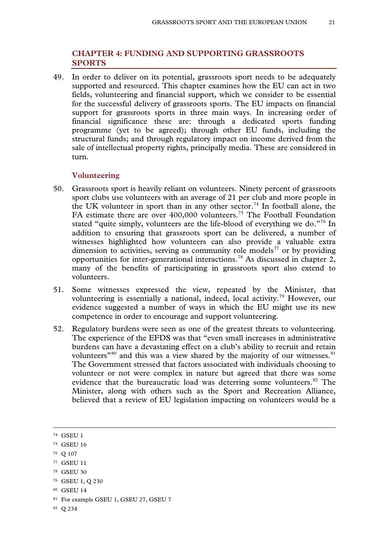#### **CHAPTER 4: FUNDING AND SUPPORTING GRASSROOTS SPORTS**

49. In order to deliver on its potential, grassroots sport needs to be adequately supported and resourced. This chapter examines how the EU can act in two fields, volunteering and financial support, which we consider to be essential for the successful delivery of grassroots sports. The EU impacts on financial support for grassroots sports in three main ways. In increasing order of financial significance these are: through a dedicated sports funding programme (yet to be agreed); through other EU funds, including the structural funds; and through regulatory impact on income derived from the sale of intellectual property rights, principally media. These are considered in turn.

#### **Volunteering**

- 50. Grassroots sport is heavily reliant on volunteers. Ninety percent of grassroots sport clubs use volunteers with an average of 21 per club and more people in the UK volunteer in sport than in any other sector.<sup>[74](#page-18-8)</sup> In football alone, the FA estimate there are over 400,000 volunteers.<sup>[75](#page-20-0)</sup> The Football Foundation stated "quite simply, volunteers are the life-blood of everything we do."<sup>[76](#page-20-1)</sup> In addition to ensuring that grassroots sport can be delivered, a number of witnesses highlighted how volunteers can also provide a valuable extra dimension to activities, serving as community role models<sup>[77](#page-20-2)</sup> or by providing opportunities for inter-generational interactions.[78](#page-20-3) As discussed in chapter 2, many of the benefits of participating in grassroots sport also extend to volunteers.
- 51. Some witnesses expressed the view, repeated by the Minister, that volunteering is essentially a national, indeed, local activity.<sup>[79](#page-20-4)</sup> However, our evidence suggested a number of ways in which the EU might use its new competence in order to encourage and support volunteering.
- 52. Regulatory burdens were seen as one of the greatest threats to volunteering. The experience of the EFDS was that "even small increases in administrative burdens can have a devastating effect on a club's ability to recruit and retain volunteers"<sup>[80](#page-20-5)</sup> and this was a view shared by the majority of our witnesses. $81$ The Government stressed that factors associated with individuals choosing to volunteer or not were complex in nature but agreed that there was some evidence that the bureaucratic load was deterring some volunteers.<sup>[82](#page-20-7)</sup> The Minister, along with others such as the Sport and Recreation Alliance, believed that a review of EU legislation impacting on volunteers would be a

<span id="page-20-8"></span>-

<span id="page-20-2"></span><sup>77</sup> GSEU 11

<span id="page-20-5"></span><sup>80</sup> GSEU 14

<span id="page-20-7"></span><sup>82</sup> Q 234

<sup>74</sup> GSEU 1

<span id="page-20-0"></span><sup>75</sup> GSEU 16

<span id="page-20-1"></span><sup>76</sup> Q 107

<span id="page-20-3"></span><sup>78</sup> GSEU 30

<span id="page-20-4"></span><sup>79</sup> GSEU 1, Q 230

<span id="page-20-6"></span><sup>81</sup> For example GSEU 1, GSEU 27, GSEU 7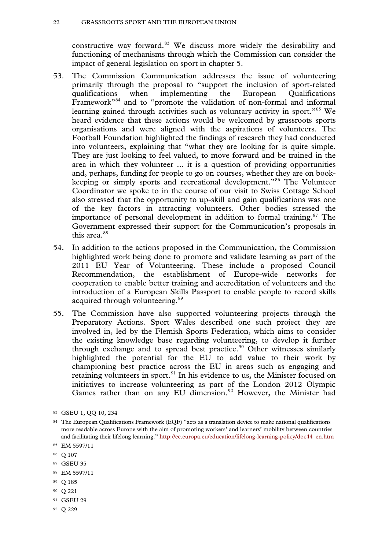constructive way forward.<sup>[83](#page-20-8)</sup> We discuss more widely the desirability and functioning of mechanisms through which the Commission can consider the impact of general legislation on sport in chapter 5.

- 53. The Commission Communication addresses the issue of volunteering primarily through the proposal to "support the inclusion of sport-related qualifications when implementing the European Qualifications when implementing the European Qualifications Framework"[84](#page-21-0) and to "promote the validation of non-formal and informal learning gained through activities such as voluntary activity in sport.<sup>"[85](#page-21-1)</sup> We heard evidence that these actions would be welcomed by grassroots sports organisations and were aligned with the aspirations of volunteers. The Football Foundation highlighted the findings of research they had conducted into volunteers, explaining that "what they are looking for is quite simple. They are just looking to feel valued, to move forward and be trained in the area in which they volunteer ... it is a question of providing opportunities and, perhaps, funding for people to go on courses, whether they are on bookkeeping or simply sports and recreational development."[86](#page-21-2) The Volunteer Coordinator we spoke to in the course of our visit to Swiss Cottage School also stressed that the opportunity to up-skill and gain qualifications was one of the key factors in attracting volunteers. Other bodies stressed the importance of personal development in addition to formal training. $87$  The Government expressed their support for the Communication's proposals in this area.<sup>[88](#page-21-4)</sup>
- 54. In addition to the actions proposed in the Communication, the Commission highlighted work being done to promote and validate learning as part of the 2011 EU Year of Volunteering. These include a proposed Council Recommendation, the establishment of Europe-wide networks for cooperation to enable better training and accreditation of volunteers and the introduction of a European Skills Passport to enable people to record skills acquired through volunteering.<sup>[89](#page-21-5)</sup>
- 55. The Commission have also supported volunteering projects through the Preparatory Actions. Sport Wales described one such project they are involved in, led by the Flemish Sports Federation, which aims to consider the existing knowledge base regarding volunteering, to develop it further through exchange and to spread best practice.<sup>[90](#page-21-6)</sup> Other witnesses similarly highlighted the potential for the EU to add value to their work by championing best practice across the EU in areas such as engaging and retaining volunteers in sport.<sup>[91](#page-21-7)</sup> In his evidence to us, the Minister focused on initiatives to increase volunteering as part of the London 2012 Olympic Games rather than on any EU dimension.<sup>[92](#page-21-8)</sup> However, the Minister had

-

<span id="page-21-3"></span><sup>87</sup> GSEU 35

- <span id="page-21-9"></span><span id="page-21-5"></span><sup>89</sup> Q 185
- <span id="page-21-6"></span><sup>90</sup> Q 221
- <span id="page-21-7"></span><sup>91</sup> GSEU 29
- <span id="page-21-8"></span><sup>92</sup> Q 229

<sup>83</sup> GSEU 1, QQ 10, 234

<span id="page-21-0"></span><sup>84</sup> The European Qualifications Framework (EQF) "acts as a translation device to make national qualifications more readable across Europe with the aim of promoting workers' and learners' mobility between countries and facilitating their lifelong learning." http://ec.europa.eu/education/lifelong-learning-policy/doc44\_en.htm

<span id="page-21-1"></span><sup>85</sup> EM 5597/11

<span id="page-21-2"></span><sup>86</sup> Q 107

<span id="page-21-4"></span><sup>88</sup> EM 5597/11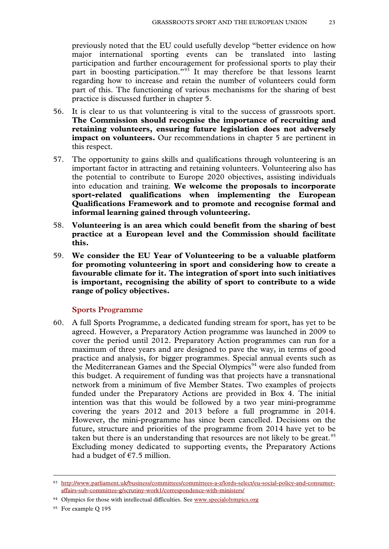previously noted that the EU could usefully develop "better evidence on how major international sporting events can be translated into lasting participation and further encouragement for professional sports to play their part in boosting participation."<sup>[93](#page-21-9)</sup> It may therefore be that lessons learnt regarding how to increase and retain the number of volunteers could form part of this. The functioning of various mechanisms for the sharing of best practice is discussed further in chapter 5.

- 56. It is clear to us that volunteering is vital to the success of grassroots sport. **The Commission should recognise the importance of recruiting and retaining volunteers, ensuring future legislation does not adversely impact on volunteers.** Our recommendations in chapter 5 are pertinent in this respect.
- 57. The opportunity to gains skills and qualifications through volunteering is an important factor in attracting and retaining volunteers. Volunteering also has the potential to contribute to Europe 2020 objectives, assisting individuals into education and training. **We welcome the proposals to incorporate sport-related qualifications when implementing the European Qualifications Framework and to promote and recognise formal and informal learning gained through volunteering.**
- 58. **Volunteering is an area which could benefit from the sharing of best practice at a European level and the Commission should facilitate this.**
- 59. **We consider the EU Year of Volunteering to be a valuable platform for promoting volunteering in sport and considering how to create a favourable climate for it. The integration of sport into such initiatives is important, recognising the ability of sport to contribute to a wide range of policy objectives.**

#### **Sports Programme**

60. A full Sports Programme, a dedicated funding stream for sport, has yet to be agreed. However, a Preparatory Action programme was launched in 2009 to cover the period until 2012. Preparatory Action programmes can run for a maximum of three years and are designed to pave the way, in terms of good practice and analysis, for bigger programmes. Special annual events such as the Mediterranean Games and the Special Olympics<sup>[94](#page-22-0)</sup> were also funded from this budget. A requirement of funding was that projects have a transnational network from a minimum of five Member States. Two examples of projects funded under the Preparatory Actions are provided in Box 4. The initial intention was that this would be followed by a two year mini-programme covering the years 2012 and 2013 before a full programme in 2014. However, the mini-programme has since been cancelled. Decisions on the future, structure and priorities of the programme from 2014 have yet to be taken but there is an understanding that resources are not likely to be great.<sup>[95](#page-22-1)</sup> Excluding money dedicated to supporting events, the Preparatory Actions had a budget of  $\epsilon$ 7.5 million.

<span id="page-22-2"></span><sup>93</sup> http://www.parliament.uk/business/committees/committees-a-z/lords-select/eu-social-policy-and-consumeraffairs-sub-committee-g/scrutiny-work1/correspondence-with-ministers/

<span id="page-22-0"></span><sup>&</sup>lt;sup>94</sup> Olympics for those with intellectual difficulties. See [www.specialolympics.org](http://www.specialolympics.org/)

<span id="page-22-1"></span><sup>95</sup> For example Q 195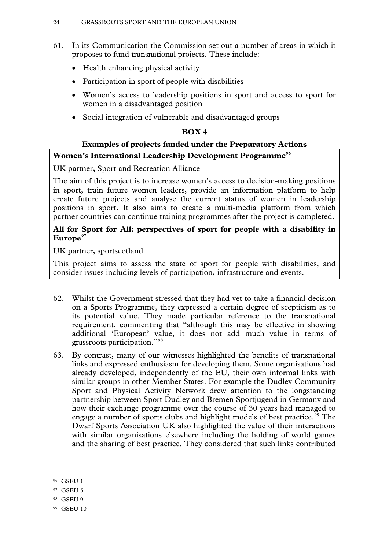- 61. In its Communication the Commission set out a number of areas in which it proposes to fund transnational projects. These include:
	- Health enhancing physical activity
	- Participation in sport of people with disabilities
	- Women's access to leadership positions in sport and access to sport for women in a disadvantaged position
	- Social integration of vulnerable and disadvantaged groups

#### **BOX 4**

#### **Examples of projects funded under the Preparatory Actions Women's International Leadership Development Programme[96](#page-22-2)**

UK partner, Sport and Recreation Alliance

The aim of this project is to increase women's access to decision-making positions in sport, train future women leaders, provide an information platform to help create future projects and analyse the current status of women in leadership positions in sport. It also aims to create a multi-media platform from which partner countries can continue training programmes after the project is completed.

#### **All for Sport for All: perspectives of sport for people with a disability in Europe[97](#page-23-0)**

UK partner, sportscotland

This project aims to assess the state of sport for people with disabilities, and consider issues including levels of participation, infrastructure and events.

- 62. Whilst the Government stressed that they had yet to take a financial decision on a Sports Programme, they expressed a certain degree of scepticism as to its potential value. They made particular reference to the transnational requirement, commenting that "although this may be effective in showing additional 'European' value, it does not add much value in terms of grassroots participation."[98](#page-23-1)
- 63. By contrast, many of our witnesses highlighted the benefits of transnational links and expressed enthusiasm for developing them. Some organisations had already developed, independently of the EU, their own informal links with similar groups in other Member States. For example the Dudley Community Sport and Physical Activity Network drew attention to the longstanding partnership between Sport Dudley and Bremen Sportjugend in Germany and how their exchange programme over the course of 30 years had managed to engage a number of sports clubs and highlight models of best practice.<sup>[99](#page-23-2)</sup> The Dwarf Sports Association UK also highlighted the value of their interactions with similar organisations elsewhere including the holding of world games and the sharing of best practice. They considered that such links contributed

<span id="page-23-3"></span><sup>96</sup> GSEU 1

<span id="page-23-0"></span><sup>97</sup> GSEU 5

<span id="page-23-1"></span><sup>98</sup> GSEU 9

<span id="page-23-2"></span><sup>&</sup>lt;sup>99</sup> GSEU 10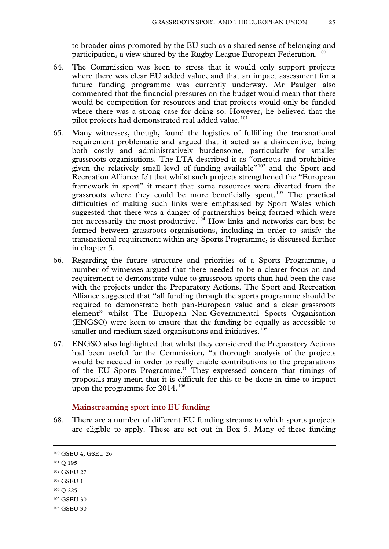to broader aims promoted by the EU such as a shared sense of belonging and participation, a view shared by the Rugby League European Federation. [100](#page-23-3)

- 64. The Commission was keen to stress that it would only support projects where there was clear EU added value, and that an impact assessment for a future funding programme was currently underway. Mr Paulger also commented that the financial pressures on the budget would mean that there would be competition for resources and that projects would only be funded where there was a strong case for doing so. However, he believed that the pilot projects had demonstrated real added value.<sup>[101](#page-24-0)</sup>
- 65. Many witnesses, though, found the logistics of fulfilling the transnational requirement problematic and argued that it acted as a disincentive, being both costly and administratively burdensome, particularly for smaller grassroots organisations. The LTA described it as "onerous and prohibitive given the relatively small level of funding available $\frac{102}{2}$  $\frac{102}{2}$  $\frac{102}{2}$  and the Sport and Recreation Alliance felt that whilst such projects strengthened the "European framework in sport" it meant that some resources were diverted from the grassroots where they could be more beneficially spent.<sup>[103](#page-24-2)</sup> The practical difficulties of making such links were emphasised by Sport Wales which suggested that there was a danger of partnerships being formed which were not necessarily the most productive.<sup>[104](#page-24-3)</sup> How links and networks can best be formed between grassroots organisations, including in order to satisfy the transnational requirement within any Sports Programme, is discussed further in chapter 5.
- 66. Regarding the future structure and priorities of a Sports Programme, a number of witnesses argued that there needed to be a clearer focus on and requirement to demonstrate value to grassroots sports than had been the case with the projects under the Preparatory Actions. The Sport and Recreation Alliance suggested that "all funding through the sports programme should be required to demonstrate both pan-European value and a clear grassroots element" whilst The European Non-Governmental Sports Organisation (ENGSO) were keen to ensure that the funding be equally as accessible to smaller and medium sized organisations and initiatives.<sup>[105](#page-24-4)</sup>
- 67. ENGSO also highlighted that whilst they considered the Preparatory Actions had been useful for the Commission, "a thorough analysis of the projects would be needed in order to really enable contributions to the preparations of the EU Sports Programme." They expressed concern that timings of proposals may mean that it is difficult for this to be done in time to impact upon the programme for  $2014$ .<sup>[106](#page-24-5)</sup>

#### **Mainstreaming sport into EU funding**

68. There are a number of different EU funding streams to which sports projects are eligible to apply. These are set out in Box 5. Many of these funding

<span id="page-24-6"></span><sup>100</sup> GSEU 4, GSEU 26

<span id="page-24-5"></span><span id="page-24-4"></span><span id="page-24-3"></span><span id="page-24-2"></span><span id="page-24-1"></span><span id="page-24-0"></span><sup>101</sup> Q 195 <sup>102</sup> GSEU 27 <sup>103</sup> GSEU 1 <sup>104</sup> Q 225 <sup>105</sup> GSEU 30 <sup>106</sup> GSEU 30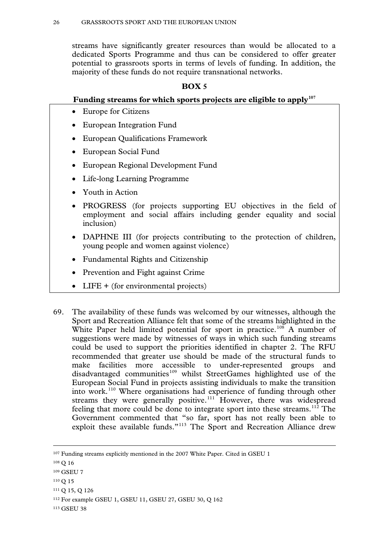streams have significantly greater resources than would be allocated to a dedicated Sports Programme and thus can be considered to offer greater potential to grassroots sports in terms of levels of funding. In addition, the majority of these funds do not require transnational networks.

#### **BOX 5**

#### **Funding streams for which sports projects are eligible to apply[107](#page-24-6)**

- Europe for Citizens
- European Integration Fund
- European Qualifications Framework
- European Social Fund
- European Regional Development Fund
- Life-long Learning Programme
- Youth in Action
- PROGRESS (for projects supporting EU objectives in the field of employment and social affairs including gender equality and social inclusion)
- DAPHNE III (for projects contributing to the protection of children, young people and women against violence)
- Fundamental Rights and Citizenship
- Prevention and Fight against Crime
- LIFE + (for environmental projects)
- 69. The availability of these funds was welcomed by our witnesses, although the Sport and Recreation Alliance felt that some of the streams highlighted in the White Paper held limited potential for sport in practice.<sup>[108](#page-25-0)</sup> A number of suggestions were made by witnesses of ways in which such funding streams could be used to support the priorities identified in chapter 2. The RFU recommended that greater use should be made of the structural funds to make facilities more accessible to under-represented groups and disadvantaged communities<sup>[109](#page-25-1)</sup> whilst StreetGames highlighted use of the European Social Fund in projects assisting individuals to make the transition into work.[110](#page-25-2) Where organisations had experience of funding through other streams they were generally positive.<sup>[111](#page-25-3)</sup> However, there was widespread feeling that more could be done to integrate sport into these streams.<sup>[112](#page-25-4)</sup> The Government commented that "so far, sport has not really been able to exploit these available funds."[113](#page-25-5) The Sport and Recreation Alliance drew

-

- <span id="page-25-3"></span><sup>111</sup> Q 15, Q 126
- <span id="page-25-4"></span><sup>112</sup> For example GSEU 1, GSEU 11, GSEU 27, GSEU 30, Q 162

<span id="page-25-5"></span><sup>113</sup> GSEU 38

<sup>&</sup>lt;sup>107</sup> Funding streams explicitly mentioned in the 2007 White Paper. Cited in GSEU 1

<span id="page-25-0"></span><sup>108</sup> Q 16

<span id="page-25-1"></span><sup>109</sup> GSEU 7

<span id="page-25-2"></span><sup>110</sup> Q 15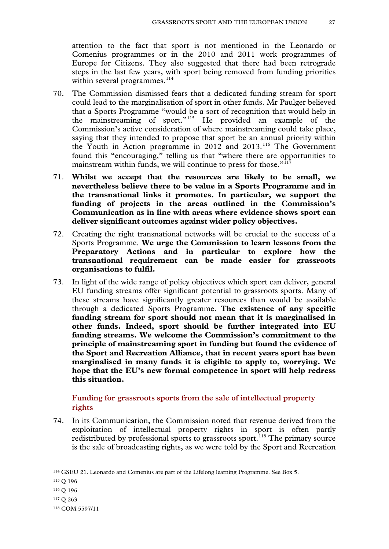attention to the fact that sport is not mentioned in the Leonardo or Comenius programmes or in the 2010 and 2011 work programmes of Europe for Citizens. They also suggested that there had been retrograde steps in the last few years, with sport being removed from funding priorities within several programmes. $^{114}$  $^{114}$  $^{114}$ 

- 70. The Commission dismissed fears that a dedicated funding stream for sport could lead to the marginalisation of sport in other funds. Mr Paulger believed that a Sports Programme "would be a sort of recognition that would help in the mainstreaming of sport."<sup>[115](#page-26-0)</sup> He provided an example of the Commission's active consideration of where mainstreaming could take place, saying that they intended to propose that sport be an annual priority within the Youth in Action programme in 2012 and 2013.[116](#page-26-1) The Government found this "encouraging," telling us that "where there are opportunities to mainstream within funds, we will continue to press for those."<sup>[117](#page-26-2)</sup>
- 71. **Whilst we accept that the resources are likely to be small, we nevertheless believe there to be value in a Sports Programme and in the transnational links it promotes. In particular, we support the funding of projects in the areas outlined in the Commission's Communication as in line with areas where evidence shows sport can deliver significant outcomes against wider policy objectives.**
- 72. Creating the right transnational networks will be crucial to the success of a Sports Programme. **We urge the Commission to learn lessons from the Preparatory Actions and in particular to explore how the transnational requirement can be made easier for grassroots organisations to fulfil.**
- 73. In light of the wide range of policy objectives which sport can deliver, general EU funding streams offer significant potential to grassroots sports. Many of these streams have significantly greater resources than would be available through a dedicated Sports Programme. **The existence of any specific funding stream for sport should not mean that it is marginalised in other funds. Indeed, sport should be further integrated into EU funding streams. We welcome the Commission's commitment to the principle of mainstreaming sport in funding but found the evidence of the Sport and Recreation Alliance, that in recent years sport has been marginalised in many funds it is eligible to apply to, worrying. We hope that the EU's new formal competence in sport will help redress this situation.**

#### **Funding for grassroots sports from the sale of intellectual property rights**

74. In its Communication, the Commission noted that revenue derived from the exploitation of intellectual property rights in sport is often partly redistributed by professional sports to grassroots sport.<sup>[118](#page-26-3)</sup> The primary source is the sale of broadcasting rights, as we were told by the Sport and Recreation

<sup>114</sup> GSEU 21. Leonardo and Comenius are part of the Lifelong learning Programme. See Box 5.

<span id="page-26-0"></span><sup>115</sup> Q 196

<sup>116</sup> Q 196

<span id="page-26-2"></span><span id="page-26-1"></span><sup>117</sup> Q 263

<span id="page-26-3"></span><sup>118</sup> COM 5597/11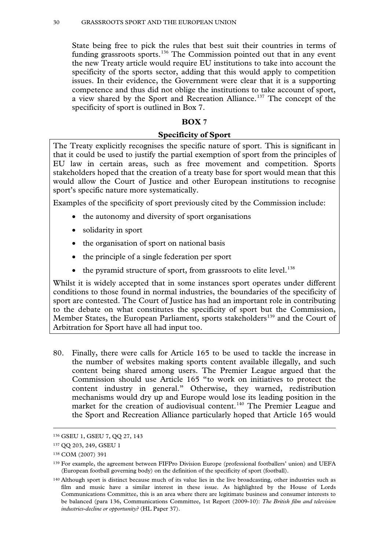The Committee considers EU documents in advance of decisions being taken on them in Brussels in order to influence the Governmentosition and to hold them to account.

The Government are required to deposit EU documents in Parliament, and to produce within two weeks an Explanatory Memorandum setting out the implications for the UK. The Committee examines these documents, aftablds under scrutinany about which it hasoncerns, entering into correspondence with the relevant Minister until satisfied. Letters must be answered within two weeks. Under théscrutiny reserve resolution be Government may not agree in the EU Council of Ministers to any proposal still held underutiny; reasons must be given for any breach.

The Committee also conducts inquiries and makes reports. The Government are required to respond in writing to a reportecommendations within two months of publication. If the report is for debate, then there is a debate in the House of Lords, which a Minister astend respond to.

The Committee has seven Sußommittees which are: Economic and Financial Affairs and International Trade Committee A) Internal MarketEnergy and Transportub -Commitee B) Foreign Affairs, Defence and Development Policy Cummittee C) AgricultureFisheries an Environment SubCommittee D) **Justiceand Institutions SubCommittee E)** Home Affairs SubCommittee F) SocialPoliciesand ConsumeProtectionSub-Commitee G)

| The Members of the European Union Committee are: |                                  |
|--------------------------------------------------|----------------------------------|
| <b>Lord Bowness</b>                              | <b>Baroness CCathain</b>         |
| <b>Lord Carter of Coles</b>                      | <b>Lord Plumb</b>                |
| <b>Lord Dear</b>                                 | <b>Lord Richard</b>              |
| <b>Lord Dykes</b>                                | <b>Lord Roper Chairman</b> )     |
| <b>Lord Foulkes of Cumnock</b>                   | The Earl of Sandich              |
| <b>Lord Hannay of Chiswick</b>                   | <b>Lord Teverson</b>             |
| <b>Lord Harrison</b>                             | <b>Lord Tomlinson</b>            |
| <b>Baroness Howarth of Breckland</b>             | <b>Lord Trimble</b>              |
| Lord Jopling                                     | <b>Baroness Young of Hornsey</b> |
| <b>Lord Maclennan of Rogart</b>                  |                                  |

The Members of the SulCommittee which conducted thire in are listed in Appendix 1.

For information freely avails on the web, our homepage is

There you will find many of our publications, alwith press notices, details of membership and forthcoming meetings, and other information about the ongoing work of the Committee and its Sub-Committees, each of which has its own homepage.

General information about the House of Lordd its Committees, including guidance to witnesses, details of current inquiries and forthcoming meetings is on the internet at

The curent staff of the Sub-Committee ard alitha Rowland Clerk) Alistair Dillon Policy Analyst)and Mandeep LallyCommittee Assistant)

Contact details for individual Submmittees are given on the website. Generakorrespondence should be addressed to the Clerk of the European Union Committee, Committee Office, House of Lords, London, SWUAW General enquiries 020 7219 5791 The Committe's email address is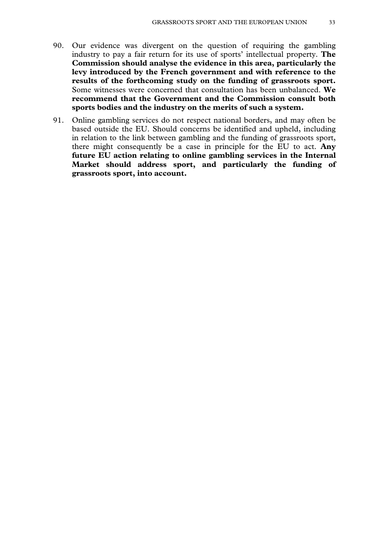- $1.$ Article 165 of the Lisbon Treaty (TFEU) for the first time accords the European Union a formal competence in the field of the Box 1) The Treaty provides for the EU to support, coordinate and complement the efforts of Member States but does not allow it to adopt legislation specifically relating to sport. The EU uses the definition of sport established by the Council of Europe which encompasses all forms of physical activity which, through casual or organised participation, aim at expressing or improving physical fitness and mental welling, forming social relationships or obtaining results in competition at all levels
- $2.$ Sport as a policy area has been developing at EU level over a number of vears. Further to a number of Commission Reports, this Eleads of State and Government adopted a Declaration, which was annexed to the 1997 Amsterdam Traty. This emphasised the social significance of sport and noted that particular consideration should be given to the specific characteristics of amateur sport. Three years later, the December 2000 Nice European Council adopted Conclusions which went intochn greater detail, and requested that the European institutions and Member States "continue examining their policies the light of the general principles laid down. On that occasion, the focus remained the societal role of sport, and the consequent impance of taking sport social function into account when adopting and implementing other Community policies<sup>2</sup>.
- $3.$ The Commission issued a White Paper on Spoint July 2007 and this, along with its accompanying action plan, subsadweformed the basis of EU action. The White Paperxamined sports societal role, its economic dimension and its organisation. This has become the accepted structure for EU level activities and discussion among stakeholders and the EU institutions. The Commission has made clear that in many areas it considers the White Paper remains an appropriate basis for EU level activities. Preparatory actions, intended to prepare the ground for future EU actions, began in  $2009$ <sup>5</sup>
- $\mathbf{1}$

 $\overline{2}$ 

4 COM 2011)12

<sup>3</sup> COM 2007)391

 $5$  See paragraph 60 for further detail.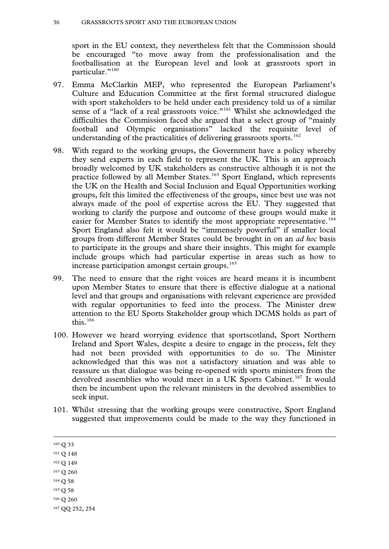$\mathbf{R}$ 

#### $ROX1$

#### Arti cle 165TFEU

Article 165 (1) provides that "the Union shall contribute to the promotion of European sporting issues, while taking into account the specific nature of sport, its structures based on voluntary activity and its social and educational function."

Article 165 (2) continues that "Union action shall be aimed at developing the European dimension in sport, by promoting fairness and openness in sporting competitions, promoting cooperation between bodies responsible for sport, and protecting the physical and moral integrity of sportsmen and sportswomen, especially the youngest sportsmen and sportswomen."

Article 165 (3) states that "The Union and Member States shall foster cooperation with third countries and the competent international organisations in the field of education and sport, in particular the Council of Europe.

Article 165 (4) permits the EU institutions to "adopt incentive measures and recommendations, excluding any harmonisation of the laws and regulations of the Member States."

- We examined the treaty base in our report The Treaty of Lisbon: an impact  $4.$ assessment prior to its entry into force. The absence of a specific treaty base for sport prior to December 2009 was regarded by some as unsatisfactory, creating legal uncertainty and leaving sports policy lacking both coherence and status. There was no strategic approach to sport, integration into wider EU policy, and no dedicated funding. There was also concern that the specific nature and characteristics of sport were neither sufficiently nor systematically taken into account by either the Commission or the Court of Justice. This was particularly the case where sport came into conflict with principles of EU law, notably those relating to the single market, such as competition and free movement. One such example was the Bosmanruling, in which restrictions on the number of non-nationals playing in a club team within a Member State were ruled to be in contravention of the free movement principles enshrined within the Treaty.<sup>7</sup> This state of affairs was criticised for leaving sports policy to be determined by the Court of Justice.
- $5<sub>1</sub>$ In April 2010 the Commission initiated an EU-wide public consultation, which resulted in its Communication Developing the European Dimension in Sport Published in January 2011, in the course of this inquiry, it proposes actions until 2015. It is due to be first discussed at the Council of Sport Ministers' meeting in May 2011. Box 2 sets out the specific challenges which the Communication identifies and aims to address.<sup>8</sup> This reflects a broad consensus on the areas where the EU should act. These have emerged through the Commission's consultation exercise and independent expert group, Member State preferences and a study conducted for the European Parliament's Education and Culture Committee.

<sup>&</sup>lt;sup>6</sup> European Union Committee, 10th Report (2007-08): Treaty of Lisbon: an impact assessment Paper 62).

<sup>&</sup>lt;sup>7</sup> Case C-415 93 Belgian Football Association v BosmaECR 1995, p. I-4921

<sup>8</sup> EM 5597/11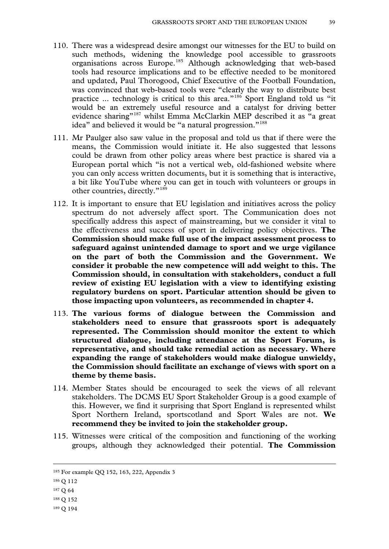#### BOX<sub>2</sub>

#### **Challenges identified in the Commission's Communication Developing the** European Dimension in Sport

Sport's health enhancing, social and educational functions:

- x Health concerns due to a lack of physical activity
- x Social exclusion of disadvantaged groups and unused potential of sport
- x Inadequate systems to combine sport and education

Sustainable sport structures:

- x Insufficient support for voluntary activity
- x Current and future challenges to the sustainable funding of sport including regulatory changes in the gambling sector in Member States
- x Inadequate protection of intellectual property rights

Doping as a threat to the physical and moral integrity of sports people

Discrimination in sport on the grounds of nationality

Unused scope for improving EU-level dialogue on sport

Perceived lack of legal clarity regarding the application of EU law to sport

Insufficient information on sport for Member States

- $6<sub>l</sub>$ This report does not question either the value of the competence or its scope. Sport as a policy area in itself is small in EU terms and has limited resources. The Committee launched this inquiry to consider how the new competence might best be used to maximise the potential and highlight the value of grassroots sport. In particular we consider how sport might be used to add value to wider policy priorities and agendas where the EU already acts and where it can support the actions of Member States. The inquiry was also launched with the aim of informing the Committee's response to the Commission Communication. This report puts our recommendations to the Government, but we hope that they will also be of interest to the European institutions. Although the Communication encompasses the entire spectrum of sports from professional to grassroots, the focus of this report is the grassroots dimension. We have chosen this focus in the light of the fact that Article 165 expressly recognises the social and educational significance of sport. $9$
- $7<sup>1</sup>$ This report begins by considering the evidence for the range of outcomes that grassroots sport can deliver. From this, we identify priorities for EU action. We then consider what measures are needed to support and resource these priorities and what action the EU can take, notably in the areas of volunteering and funding. Finally, we consider how various forms of dialogue should function.

<sup>&</sup>lt;sup>9</sup> The definition of grassroots activity varies from sport to sport and between Member States but is often characterised by being local or community-based and dependent on volunteers. It is not necessarily competitive.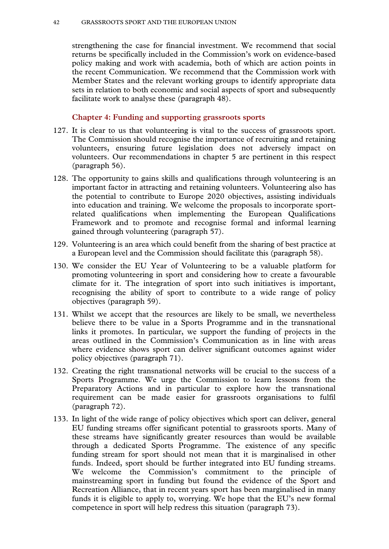#### **CHAPTER 2: THE SOCIETAL ROLE OF SPORT**

- 11. The Commission's Communication highlights a number of ways in which sport can contribute to the targets set out in the Europe 2020 Strategy: "sport has a strong potential to contribute to smart, sustainable and inclusive growth and new jobs through its positive effects on social inclusion, education and training, and public health."<sup>10</sup> This chapter first considers the evidence received about the range of outcomes sport is capable of delivering, before moving on to consider where the EU could act to provide added value to its existing actions and those of Member States in order to maximise sport's potential in these fields.
- 12. The Committee received a wide range of submissions which drew attention to the variety of ways in which sport can be used to deliver benefits for individuals, specific groups of individuals and communities. These could be broadly classified into benefits relating to: health; education, skills and personal development; and social inclusion. These are all areas in which the EU already acts. In the areas of combating social exclusion (Article  $153(i)$ ), public health (Article 168) and education (Articles 165–6), the EU's competence is largely restricted to a supporting one whereby it complements the actions of Member States and encourages cooperation between them. It can adopt incentive measures and recommendations to Member States, excluding any harmonisation of laws.

#### **Health Benefits**

- 13. There was broad agreement amongst our witnesses that the evidence base was strongest and most well-established around the positive physical and mental health outcomes that can result from regular participation in sport. These include reduced risk of heart disease, type 2 diabetes, strokes, certain types of cancer, osteoporosis and obesity, amongst others.<sup>11</sup> Evidence documenting sport's role in improving mental health for those who suffer from depression and anxiety was also highlighted.<sup>12</sup>
- 14. Participation in sport can therefore have particular benefit for groups at greater risk of developing these conditions. For example, the English Federation of Disability Sport (EFDS) highlighted that the prevalence of mental illness is around three times higher amongst those with a disability than in the general population<sup>13</sup> whilst Sport England noted that individuals of African Caribbean origin have a significantly higher risk of developing diabetes.<sup>14</sup> The Royal National Institute of Blind People also drew attention to the role physical activity can play in improving balance, mobility and coordination for those with a visual impairment.<sup>15</sup>

<sup>15</sup> GSEU 13

<sup>&</sup>lt;sup>10</sup> COM (2011) 12

<sup>&</sup>lt;sup>11</sup> Recommendations of the Chief Medical Officer cited in O 41, O 121, Department of Health Be Active, Be Healthy, 2009, cited in GSEU 29 and GSEU 14

<sup>&</sup>lt;sup>12</sup> GSEU 20, GSEU 19, GSEU 29

<sup>&</sup>lt;sup>13</sup> GSEU 14

<sup>&</sup>lt;sup>14</sup> GSEU 29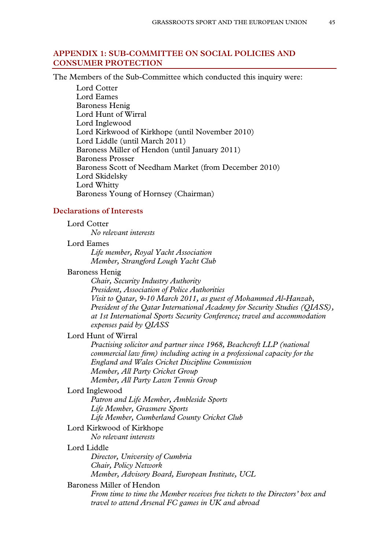#### **Education, Skills and Personal Development**

- $15.$ A number of witnesses drew attention to sport as a tool in engaging individuals at all stages in the educational process, contributing to improved academic performance and assisting in the development of skills and attributes which can help move individuals further along the path to employment.
- 16. Examples of personal development included confidence building and improved self-esteem. Groups particularly identified as benefiting from this included young women,<sup>16</sup> individuals from disadvantaged communities<sup>17</sup> and those with a disability.<sup>18</sup> It was also stressed that despite these benefits, these were all groups which are currently under-represented in terms of participation in sport.
- $17<sub>1</sub>$ With regard to outcomes in the education system, a number of witnesses drew attention to studies which have suggested a positive correlation between participation in sport and improved academic success in school.<sup>19</sup> Others focused on the use of sport as a tool in increasing motivation and attendance. The Rugby Football Union (RFU) cited a project which has used sport as a means of facilitating the return of 14-16 year old young offenders to mainstream education.<sup>20</sup> The Premier League highlighted an innovative programme run in conjunction with schools which uses football as a method of engaging pupils and encouraging uptake of languages at GCSE. Football related resources are used in language teaching in the classroom, followed by football coaching in the language. $21$
- 18. Participation in sport can also help develop soft skills, such as communication and confidence-building, which can assist individuals back into employment or in their progress towards it. A project run by the Lawn Tennis Association (LTA) in association with the Prince's Trust and Gosling Tennis Academy aimed at developing skills essential for employability such as teamwork and leadership. In their pilot project 98% of participants were classified as educational under-achievers and 30% were ex-offenders. Following the programme 89% either continued in education or went into training or employment.<sup>22</sup> The Football Foundation had similar success with a project run in conjunction with an NHS mental health partnership which combines football with educational activities. Evaluation of this project revealed that following the programme 75% of participants went into education, volunteering or training.<sup>23</sup>
- 19. Participation in grassroots sport also offers opportunities for educational and personal development to volunteers. StreetGames described how for those from disadvantaged communities volunteering "can significantly improve their life chances and help achieve their full potential through teaching leadership and life management skills, as well as providing a route to

- <sup>20</sup> GSEU 7
- <sup>21</sup> GSEU 17
- <sup>22</sup> GSEU 27
- <sup>23</sup> GSEU 20

<sup>&</sup>lt;sup>16</sup> GSEU 15

<sup>&</sup>lt;sup>17</sup> GSEU 11

<sup>&</sup>lt;sup>18</sup> GSEU 14

<sup>&</sup>lt;sup>19</sup> GSEU 31, GSEU 29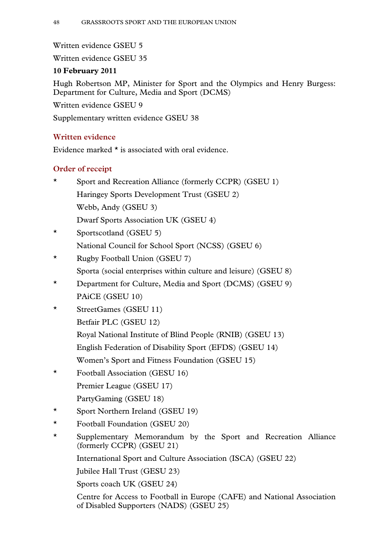recognised qualifications." These included Sports Leader and Coach awards, first aid and lifeguarding qualifications. Surveys of participants revealed that these opportunities were highly valued, with individuals reporting that the experience had provided "a doorway to the future ... a practical way of learning" and had "helped me get back on my feet ... before, there were some days I couldn't leave the house."<sup>24</sup> The opportunities available for educational and personal development were also highlighted by Nary Wijeratne, a Volunteer Coordinator to whom we spoke in the course of our visit to Swiss Cottage School. She provided an example of a volunteer programme designed as a personal empowerment and leadership scheme for voung girls. $^{25}$ 

20. We also received evidence regarding the role sport can play in awarenessraising. For example **Premier League Health** programme which aims to harness the popularity of sport to promote health issues. Run by clubs working with local health agencies who are able to identify the needs of a particular locality it aims to target individuals, many of whom may otherwise be hard to reach, within settings which are familiar and accessible to them. Work as part of the scheme has included bringing health professionals into stadiums on match days to talk directly to fans.<sup>26</sup> Sport Wales also emphasised the usefulness of sport, particularly in isolated rural areas, as a vehicle for bringing people together which could then be capitalised upon for other purposes, for example to broaden access to education and technology.<sup>27</sup> The European Non-Governmental Sports Organisation (ENGSO) and Supporters Direct considered the potential of sport as a vehicle for non-formal learning could be extended even further to promote more intangible concepts including European citizenship and democratic participation.<sup>28</sup>

#### **Societal Benefits**

- $21.$ The Commission Communication draws particular attention to the potential of sport as a vehicle "to promote social inclusion of minorities and other vulnerable or disadvantaged groups and contribute towards better understanding among communities, including in post-conflict regions."<sup>29</sup> The societal role of sport is one of the areas where the Government express their clearest support for the Commission's objectives. In their Explanatory Memorandum they state that they support the Commission's desire "to derive clear benefits for EU citizens and the continuing and effective use of sport as a positive policy instrument" and that "on that basis, the Communication should be regarded as a particularly constructive and welcome narrative of EU sports policy goals and ambitions in this area."<sup>30</sup>
- 22. The role sport can play in helping to integrate individuals excluded or isolated from society was highlighted by a number of our witnesses. The

<sup>30</sup> EM 5597/11

 $13$ 

<sup>&</sup>lt;sup>24</sup> GSEU 34

<sup>&</sup>lt;sup>25</sup> Appendix 3

<sup>&</sup>lt;sup>26</sup> GSEU 17

<sup>&</sup>lt;sup>27</sup> O 212

<sup>&</sup>lt;sup>28</sup> GSEU 30, GSEU 32

<sup>&</sup>lt;sup>29</sup> COM (2011) 12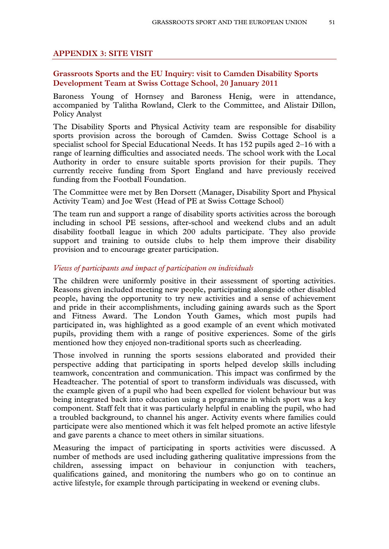#### $14$ **GRASSROOTS SPORT AND THE EUROPEAN UNION**

Sport and Recreation Alliance<sup>31</sup> and ENGSO<sup>32</sup> drew attention to the benefits of participation for older people and the minister described increasing their levels of participation as "a huge area of possibility."<sup>33</sup> The Football Foundation, which funds a project aimed at addressing physical and social inactivity of those aged over 55 and the Jubilee Hall Trust, which runs a dance class for those over 50, both highlighted feedback from participants which suggested its role in reducing feelings of social isolation in addition to increasing their sense of physical and mental wellbeing.<sup>34</sup>

- A number of our witnesses spoke of the potential role of sport in bringing 23. together diverse or fragmented communities. Sport Northern Ireland described the "vital role" sport had played in "bringing the peoples of Northern Ireland together in an area that was safe and secure and in which there was mutual respect for their traditions and identities." The EU Programme for Peace and Reconciliation in Northern Ireland and the Border Region of Ireland acknowledged sport's potential in this area, funding projects aimed at community cohesion and good relations.<sup>35</sup> Leon McCollin, a volunteer with StreetGames, explained how sports activities in his community had brought together individuals from a diverse range of religious and cultural backgrounds<sup>36</sup> and how this had had success in encouraging integration beyond the time of the formal sessions. The football project Kickz, funded by the Football Association and the Premier League and run in association with the police, has also had success in bringing together individuals from diverse ethnic groups in areas of deprivation where gangs often pose serious problems.<sup>37</sup>
- We also received evidence which stressed the effectiveness of sport as a 24. method of reaching disengaged young people, particularly at "jeopardy ages." StreetGames described the ways in which they tailored their programmes in order to address directly the protection and risk factors which affect young people falling into criminal or antisocial behaviours.<sup>38</sup> These are set out in Box 3. StreetGames also provided a number of practical examples of where their projects had contributed to measurably reduced rates of offending. For example data provided by Greater Manchester Police indicated that reported figures of antisocial behaviour in two wards where StreetGames targeted its projects were reduced by 39.7% per month in the course of a year.<sup>39</sup> Such projects can help local communities and businesses affected by offending whilst also providing opportunities for the police and other authorities to build up trust and relationships with young people and their families.<sup>40</sup> A report published by the Department for Culture, Media and Sport (DCMS) in 2009 concluded that "there is a clear association

<sup>36</sup> O 101

<sup>38</sup> GSEU 34, Youth Justice Board, Risk and Protective Fact@f095

<sup>31</sup> GSEU 1

<sup>&</sup>lt;sup>32</sup> GSEU 30

<sup>33</sup> O 231

<sup>&</sup>lt;sup>34</sup> GSEU 20, GSEU 23

<sup>35</sup> OO 210, 224

<sup>&</sup>lt;sup>37</sup> GSEU 17

<sup>&</sup>lt;sup>39</sup> GSEU 34

<sup>&</sup>lt;sup>40</sup> GSEU 17, GSEU 11